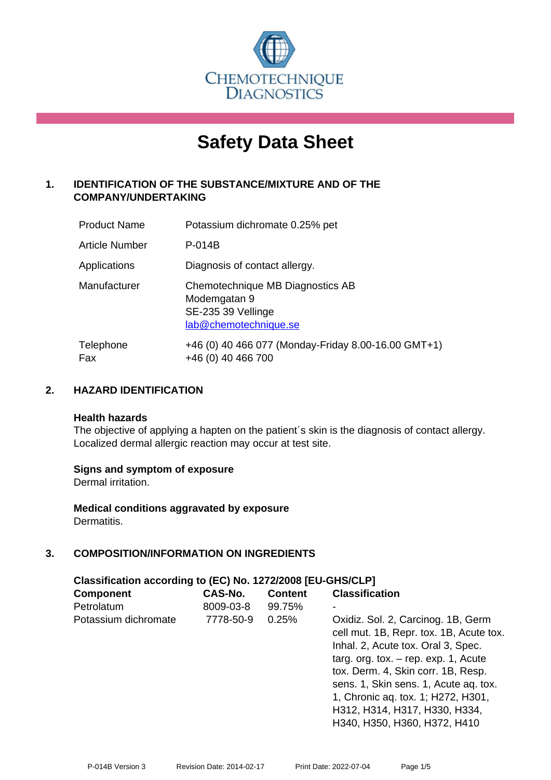

# **Safety Data Sheet**

# **1. IDENTIFICATION OF THE SUBSTANCE/MIXTURE AND OF THE COMPANY/UNDERTAKING**

| <b>Product Name</b>   | Potassium dichromate 0.25% pet                                                                  |
|-----------------------|-------------------------------------------------------------------------------------------------|
| <b>Article Number</b> | P-014B                                                                                          |
| Applications          | Diagnosis of contact allergy.                                                                   |
| Manufacturer          | Chemotechnique MB Diagnostics AB<br>Modemgatan 9<br>SE-235 39 Vellinge<br>lab@chemotechnique.se |
| Telephone<br>Fax      | +46 (0) 40 466 077 (Monday-Friday 8.00-16.00 GMT+1)<br>+46 (0) 40 466 700                       |

# **2. HAZARD IDENTIFICATION**

#### **Health hazards**

The objective of applying a hapten on the patient's skin is the diagnosis of contact allergy. Localized dermal allergic reaction may occur at test site.

# **Signs and symptom of exposure**

Dermal irritation.

**Medical conditions aggravated by exposure** Dermatitis.

# **3. COMPOSITION/INFORMATION ON INGREDIENTS**

| Classification according to (EC) No. 1272/2008 [EU-GHS/CLP] |                |                |                                                                                                                                                                                                                                                                                                                                                     |  |  |
|-------------------------------------------------------------|----------------|----------------|-----------------------------------------------------------------------------------------------------------------------------------------------------------------------------------------------------------------------------------------------------------------------------------------------------------------------------------------------------|--|--|
| <b>Component</b>                                            | <b>CAS-No.</b> | <b>Content</b> | <b>Classification</b>                                                                                                                                                                                                                                                                                                                               |  |  |
| Petrolatum                                                  | 8009-03-8      | 99.75%         |                                                                                                                                                                                                                                                                                                                                                     |  |  |
| Potassium dichromate                                        | 7778-50-9      | 0.25%          | Oxidiz. Sol. 2, Carcinog. 1B, Germ<br>cell mut. 1B, Repr. tox. 1B, Acute tox.<br>Inhal. 2, Acute tox. Oral 3, Spec.<br>targ. org. tox. $-$ rep. exp. 1, Acute<br>tox. Derm. 4, Skin corr. 1B, Resp.<br>sens. 1, Skin sens. 1, Acute ag. tox.<br>1, Chronic aq. tox. 1; H272, H301,<br>H312, H314, H317, H330, H334,<br>H340, H350, H360, H372, H410 |  |  |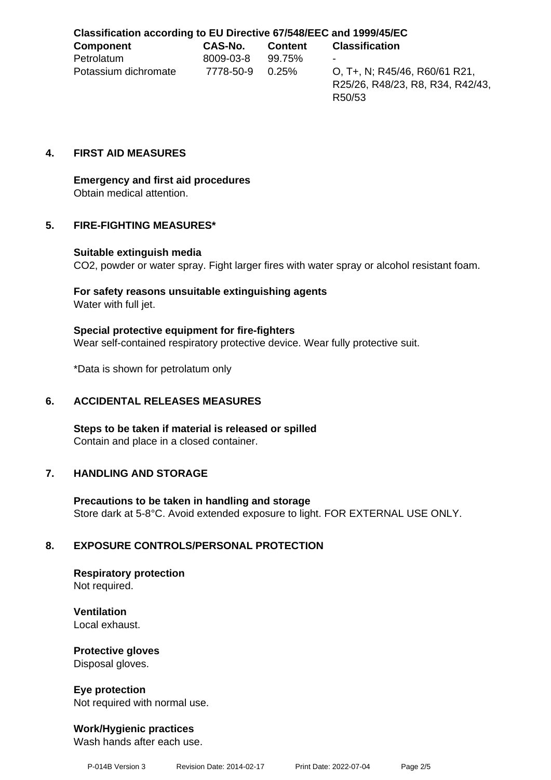# **Classification according to EU Directive 67/548/EEC and 1999/45/EC**

| <b>Component</b>     | CAS-No.          | Content | <b>Classification</b>         |
|----------------------|------------------|---------|-------------------------------|
| Petrolatum           | 8009-03-8 99.75% |         | $\blacksquare$                |
| Potassium dichromate | 7778-50-9 0.25%  |         | O, T+, N; R45/46, R60/61 R21, |

R25/26, R48/23, R8, R34, R42/43, R50/53

# **4. FIRST AID MEASURES**

# **Emergency and first aid procedures** Obtain medical attention.

# **5. FIRE-FIGHTING MEASURES\***

#### **Suitable extinguish media**

CO2, powder or water spray. Fight larger fires with water spray or alcohol resistant foam.

# **For safety reasons unsuitable extinguishing agents**

Water with full jet.

# **Special protective equipment for fire-fighters**

Wear self-contained respiratory protective device. Wear fully protective suit.

\*Data is shown for petrolatum only

# **6. ACCIDENTAL RELEASES MEASURES**

**Steps to be taken if material is released or spilled** Contain and place in a closed container.

# **7. HANDLING AND STORAGE**

**Precautions to be taken in handling and storage** Store dark at 5-8°C. Avoid extended exposure to light. FOR EXTERNAL USE ONLY.

# **8. EXPOSURE CONTROLS/PERSONAL PROTECTION**

**Respiratory protection** Not required.

**Ventilation** Local exhaust.

# **Protective gloves**

Disposal gloves.

**Eye protection** Not required with normal use.

# **Work/Hygienic practices**

Wash hands after each use.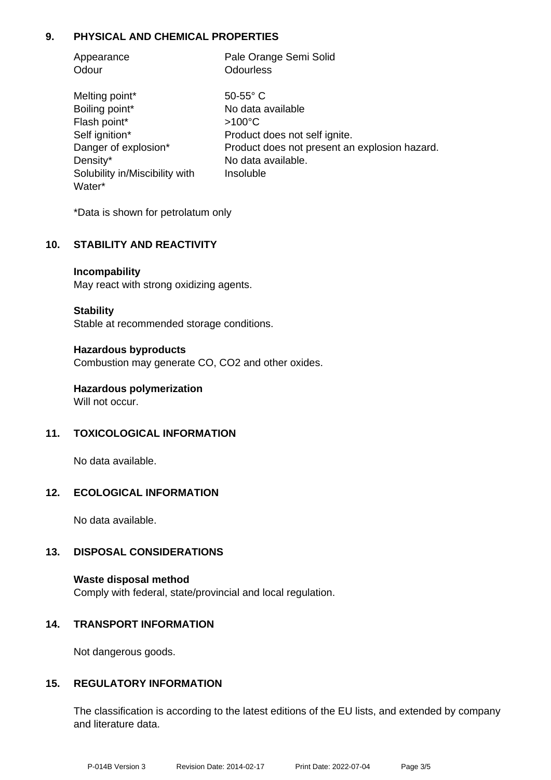# **9. PHYSICAL AND CHEMICAL PROPERTIES**

| Appearance                     | Pale Orange Semi Solid                        |  |  |
|--------------------------------|-----------------------------------------------|--|--|
| Odour                          | <b>Odourless</b>                              |  |  |
| Melting point*                 | $50-55$ °C                                    |  |  |
| Boiling point*                 | No data available                             |  |  |
| Flash point*                   | $>100^{\circ}$ C                              |  |  |
| Self ignition*                 | Product does not self ignite.                 |  |  |
| Danger of explosion*           | Product does not present an explosion hazard. |  |  |
| Density*                       | No data available.                            |  |  |
| Solubility in/Miscibility with | Insoluble                                     |  |  |
| Water*                         |                                               |  |  |

\*Data is shown for petrolatum only

# **10. STABILITY AND REACTIVITY**

**Incompability**

May react with strong oxidizing agents.

**Stability**

Stable at recommended storage conditions.

**Hazardous byproducts** Combustion may generate CO, CO2 and other oxides.

**Hazardous polymerization** Will not occur.

# **11. TOXICOLOGICAL INFORMATION**

No data available.

# **12. ECOLOGICAL INFORMATION**

No data available.

# **13. DISPOSAL CONSIDERATIONS**

**Waste disposal method** Comply with federal, state/provincial and local regulation.

#### **14. TRANSPORT INFORMATION**

Not dangerous goods.

# **15. REGULATORY INFORMATION**

The classification is according to the latest editions of the EU lists, and extended by company and literature data.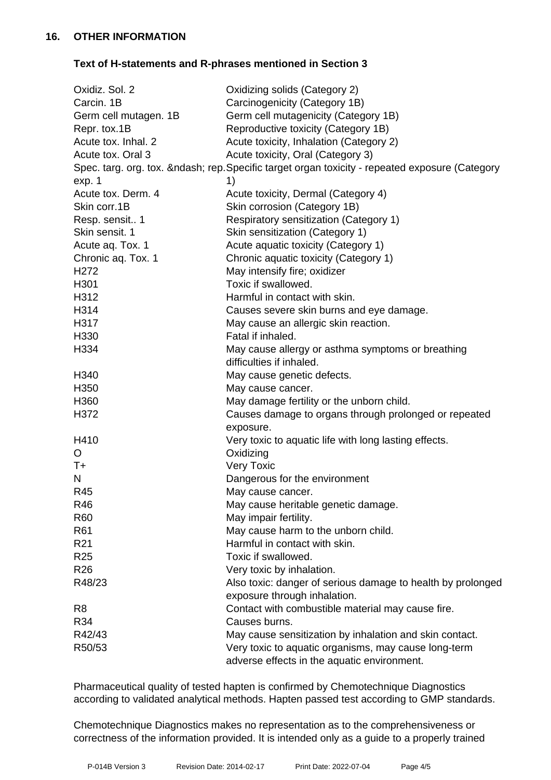# **Text of H-statements and R-phrases mentioned in Section 3**

| Oxidiz. Sol. 2        | Oxidizing solids (Category 2)                                                             |
|-----------------------|-------------------------------------------------------------------------------------------|
| Carcin. 1B            | Carcinogenicity (Category 1B)                                                             |
| Germ cell mutagen. 1B | Germ cell mutagenicity (Category 1B)                                                      |
| Repr. tox.1B          | Reproductive toxicity (Category 1B)                                                       |
| Acute tox. Inhal. 2   | Acute toxicity, Inhalation (Category 2)                                                   |
| Acute tox. Oral 3     | Acute toxicity, Oral (Category 3)                                                         |
|                       | Spec. targ. org. tox. – rep. Specific target organ toxicity - repeated exposure (Category |
| exp. 1                | 1)                                                                                        |
| Acute tox. Derm. 4    | Acute toxicity, Dermal (Category 4)                                                       |
| Skin corr.1B          | Skin corrosion (Category 1B)                                                              |
| Resp. sensit 1        | Respiratory sensitization (Category 1)                                                    |
| Skin sensit. 1        | Skin sensitization (Category 1)                                                           |
| Acute aq. Tox. 1      | Acute aquatic toxicity (Category 1)                                                       |
| Chronic aq. Tox. 1    | Chronic aquatic toxicity (Category 1)                                                     |
| H <sub>272</sub>      | May intensify fire; oxidizer                                                              |
| H301                  | Toxic if swallowed.                                                                       |
| H312                  | Harmful in contact with skin.                                                             |
| H314                  | Causes severe skin burns and eye damage.                                                  |
| H317                  | May cause an allergic skin reaction.                                                      |
| H330                  | Fatal if inhaled.                                                                         |
| H334                  | May cause allergy or asthma symptoms or breathing                                         |
|                       | difficulties if inhaled.                                                                  |
| H340                  | May cause genetic defects.                                                                |
| H350                  | May cause cancer.                                                                         |
| H360                  | May damage fertility or the unborn child.                                                 |
| H372                  | Causes damage to organs through prolonged or repeated                                     |
|                       | exposure.                                                                                 |
| H410                  | Very toxic to aquatic life with long lasting effects.                                     |
| O                     | Oxidizing                                                                                 |
| $T+$                  | <b>Very Toxic</b>                                                                         |
| N                     | Dangerous for the environment                                                             |
| R45                   | May cause cancer.                                                                         |
| R46                   | May cause heritable genetic damage.                                                       |
| R60                   | May impair fertility.                                                                     |
| R61                   | May cause harm to the unborn child.                                                       |
| R <sub>21</sub>       | Harmful in contact with skin.                                                             |
| R <sub>25</sub>       | Toxic if swallowed.                                                                       |
| R <sub>26</sub>       | Very toxic by inhalation.                                                                 |
| R48/23                | Also toxic: danger of serious damage to health by prolonged                               |
|                       | exposure through inhalation.                                                              |
| R <sub>8</sub>        | Contact with combustible material may cause fire.                                         |
| R34                   | Causes burns.                                                                             |
| R42/43                | May cause sensitization by inhalation and skin contact.                                   |
| R50/53                | Very toxic to aquatic organisms, may cause long-term                                      |
|                       | adverse effects in the aquatic environment.                                               |

Pharmaceutical quality of tested hapten is confirmed by Chemotechnique Diagnostics according to validated analytical methods. Hapten passed test according to GMP standards.

Chemotechnique Diagnostics makes no representation as to the comprehensiveness or correctness of the information provided. It is intended only as a guide to a properly trained